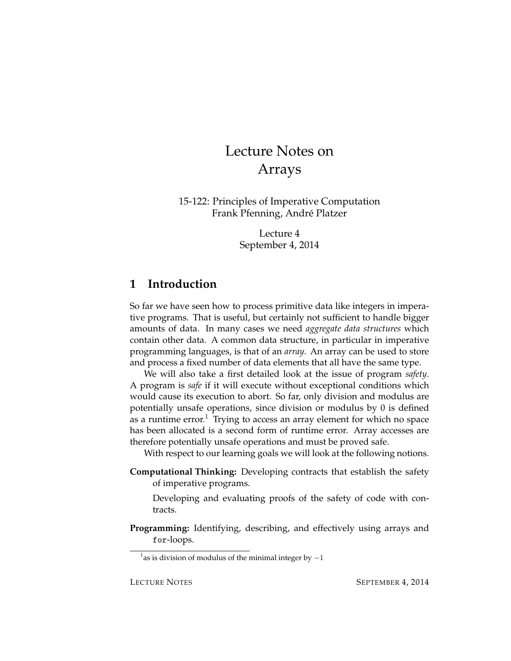# Lecture Notes on Arrays

15-122: Principles of Imperative Computation Frank Pfenning, Andre Platzer ´

> Lecture 4 September 4, 2014

## **1 Introduction**

So far we have seen how to process primitive data like integers in imperative programs. That is useful, but certainly not sufficient to handle bigger amounts of data. In many cases we need *aggregate data structures* which contain other data. A common data structure, in particular in imperative programming languages, is that of an *array*. An array can be used to store and process a fixed number of data elements that all have the same type.

We will also take a first detailed look at the issue of program *safety*. A program is *safe* if it will execute without exceptional conditions which would cause its execution to abort. So far, only division and modulus are potentially unsafe operations, since division or modulus by 0 is defined as a runtime error.<sup>[1](#page-0-0)</sup> Trying to access an array element for which no space has been allocated is a second form of runtime error. Array accesses are therefore potentially unsafe operations and must be proved safe.

With respect to our learning goals we will look at the following notions.

**Computational Thinking:** Developing contracts that establish the safety of imperative programs.

Developing and evaluating proofs of the safety of code with contracts.

**Programming:** Identifying, describing, and effectively using arrays and for-loops.

<span id="page-0-0"></span><sup>&</sup>lt;sup>1</sup> as is division of modulus of the minimal integer by  $-1$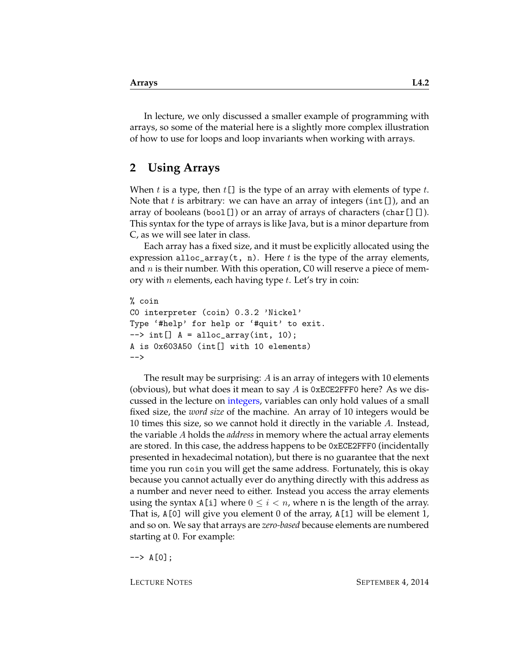In lecture, we only discussed a smaller example of programming with arrays, so some of the material here is a slightly more complex illustration of how to use for loops and loop invariants when working with arrays.

### **2 Using Arrays**

When t is a type, then  $t[$ ] is the type of an array with elements of type t. Note that t is arbitrary: we can have an array of integers (int []), and an array of booleans (bool  $[]$ ) or an array of arrays of characters (char $[]$  $[]$ ). This syntax for the type of arrays is like Java, but is a minor departure from C, as we will see later in class.

Each array has a fixed size, and it must be explicitly allocated using the expression alloc\_array(t, n). Here t is the type of the array elements, and  $n$  is their number. With this operation, C0 will reserve a piece of memory with *n* elements, each having type  $t$ . Let's try in coin:

```
% coin
C0 interpreter (coin) 0.3.2 'Nickel'
Type '#help' for help or '#quit' to exit.
\left[-\right] int[] A = alloc_array(int, 10);
A is 0x603A50 (int[] with 10 elements)
--
```
The result may be surprising: A is an array of integers with 10 elements (obvious), but what does it mean to say  $A$  is 0xECE2FFF0 here? As we discussed in the lecture on [integers,](http://www.cs.cmu.edu/~rjsimmon/15122-m14/lec/02-ints.pdf) variables can only hold values of a small fixed size, the *word size* of the machine. An array of 10 integers would be 10 times this size, so we cannot hold it directly in the variable A. Instead, the variable A holds the *address* in memory where the actual array elements are stored. In this case, the address happens to be 0xECE2FFF0 (incidentally presented in hexadecimal notation), but there is no guarantee that the next time you run coin you will get the same address. Fortunately, this is okay because you cannot actually ever do anything directly with this address as a number and never need to either. Instead you access the array elements using the syntax A[i] where  $0 \leq i < n$ , where n is the length of the array. That is, A[0] will give you element 0 of the array, A[1] will be element 1, and so on. We say that arrays are *zero-based* because elements are numbered starting at 0. For example:

 $\leftarrow$  > A[0];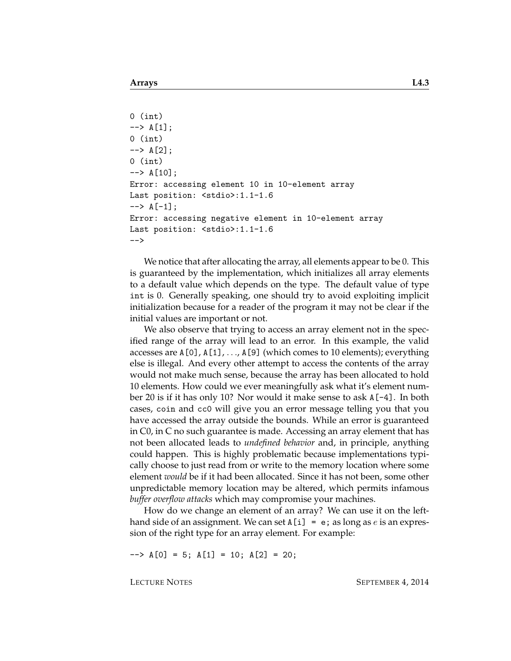```
0 (int)
\leftarrow > A[1];
0 (int)
\leftarrow > A[2];
0 (int)
\leftarrow > A[10];
Error: accessing element 10 in 10-element array
Last position: <stdio>:1.1-1.6
\leftarrow > A[-1];
Error: accessing negative element in 10-element array
Last position: <stdio>:1.1-1.6
-->
```
We notice that after allocating the array, all elements appear to be 0. This is guaranteed by the implementation, which initializes all array elements to a default value which depends on the type. The default value of type int is 0. Generally speaking, one should try to avoid exploiting implicit initialization because for a reader of the program it may not be clear if the initial values are important or not.

We also observe that trying to access an array element not in the specified range of the array will lead to an error. In this example, the valid accesses are A[0], A[1], . . ., A[9] (which comes to 10 elements); everything else is illegal. And every other attempt to access the contents of the array would not make much sense, because the array has been allocated to hold 10 elements. How could we ever meaningfully ask what it's element number 20 is if it has only 10? Nor would it make sense to ask A[-4]. In both cases, coin and cc0 will give you an error message telling you that you have accessed the array outside the bounds. While an error is guaranteed in C0, in C no such guarantee is made. Accessing an array element that has not been allocated leads to *undefined behavior* and, in principle, anything could happen. This is highly problematic because implementations typically choose to just read from or write to the memory location where some element *would* be if it had been allocated. Since it has not been, some other unpredictable memory location may be altered, which permits infamous *buffer overflow attacks* which may compromise your machines.

How do we change an element of an array? We can use it on the lefthand side of an assignment. We can set  $A[i] = e$ ; as long as e is an expression of the right type for an array element. For example:

 $--> A[0] = 5; A[1] = 10; A[2] = 20;$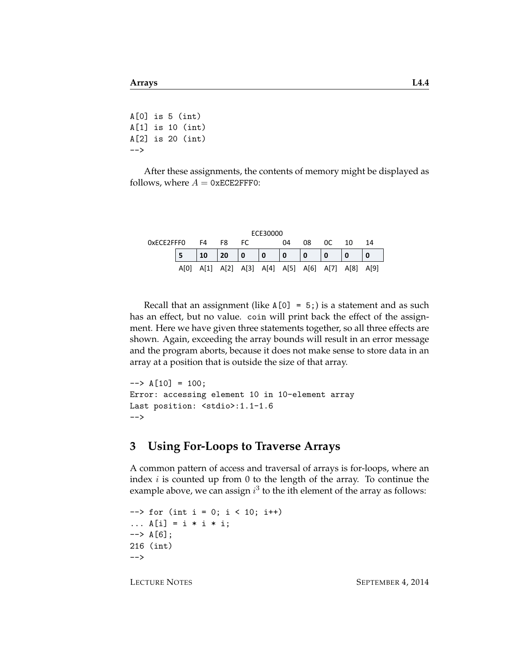$A[0]$  is  $5$  (int) A[1] is 10 (int) A[2] is 20 (int) -->

After these assignments, the contents of memory might be displayed as follows, where  $A = 0xECE2FFF0$ :

| ECE30000   |      |      |    |     |                                         |              |     |    |    |    |
|------------|------|------|----|-----|-----------------------------------------|--------------|-----|----|----|----|
| 0xECE2FFF0 |      | F4   | F8 | FC. |                                         | 04           | 08  | 0C | 10 | 14 |
|            |      | 10   | 20 | 10  |                                         | $\mathbf{0}$ | l 0 |    |    |    |
|            | AM01 | A[1] |    |     | A[2] A[3] A[4] A[5] A[6] A[7] A[8] A[9] |              |     |    |    |    |

Recall that an assignment (like  $A[0] = 5$ ;) is a statement and as such has an effect, but no value. coin will print back the effect of the assignment. Here we have given three statements together, so all three effects are shown. Again, exceeding the array bounds will result in an error message and the program aborts, because it does not make sense to store data in an array at a position that is outside the size of that array.

```
\left[-\right] \leftarrow \left[\right.10\right] = 100;
Error: accessing element 10 in 10-element array
Last position: <stdio>:1.1-1.6
-->
```
### **3 Using For-Loops to Traverse Arrays**

A common pattern of access and traversal of arrays is for-loops, where an index  $i$  is counted up from 0 to the length of the array. To continue the example above, we can assign  $i^3$  to the ith element of the array as follows:

```
\left(-\right) for (int i = 0; i < 10; i++)
... A[i] = i * i * i;\left[-\right] \left[6\right];
216 (int)
-->
```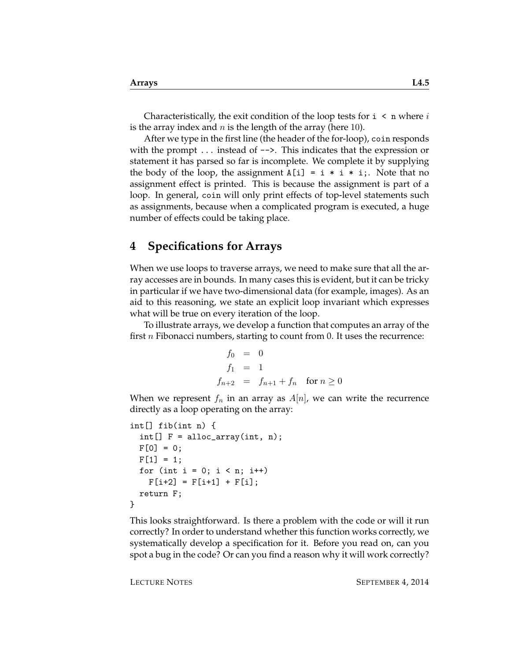Characteristically, the exit condition of the loop tests for  $i \lt n$  where i is the array index and  $n$  is the length of the array (here 10).

After we type in the first line (the header of the for-loop), coin responds with the prompt  $\dots$  instead of  $\rightarrow$ . This indicates that the expression or statement it has parsed so far is incomplete. We complete it by supplying the body of the loop, the assignment  $A[i] = i * i * i;$ . Note that no assignment effect is printed. This is because the assignment is part of a loop. In general, coin will only print effects of top-level statements such as assignments, because when a complicated program is executed, a huge number of effects could be taking place.

### **4 Specifications for Arrays**

When we use loops to traverse arrays, we need to make sure that all the array accesses are in bounds. In many cases this is evident, but it can be tricky in particular if we have two-dimensional data (for example, images). As an aid to this reasoning, we state an explicit loop invariant which expresses what will be true on every iteration of the loop.

To illustrate arrays, we develop a function that computes an array of the first *n* Fibonacci numbers, starting to count from 0. It uses the recurrence:

$$
f_0 = 0
$$
  
\n
$$
f_1 = 1
$$
  
\n
$$
f_{n+2} = f_{n+1} + f_n \quad \text{for } n \ge 0
$$

When we represent  $f_n$  in an array as  $A[n]$ , we can write the recurrence directly as a loop operating on the array:

```
int[] fib(int n) {
 int[] F = alloc_array(int, n);
 F[0] = 0;F[1] = 1;for (int i = 0; i < n; i++)F[i+2] = F[i+1] + F[i];return F;
}
```
This looks straightforward. Is there a problem with the code or will it run correctly? In order to understand whether this function works correctly, we systematically develop a specification for it. Before you read on, can you spot a bug in the code? Or can you find a reason why it will work correctly?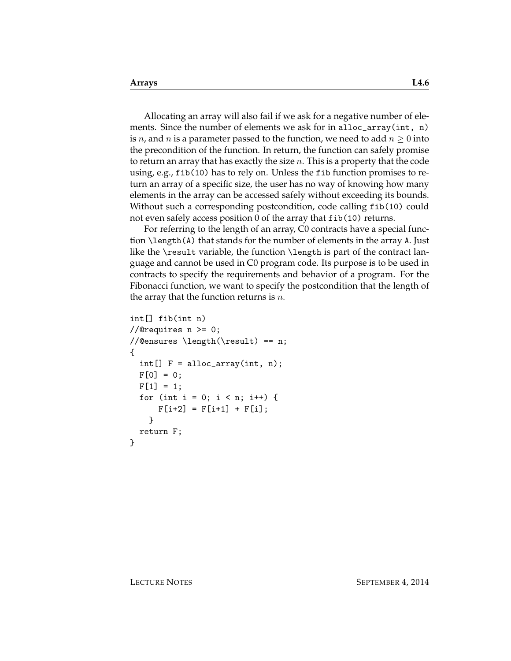Allocating an array will also fail if we ask for a negative number of elements. Since the number of elements we ask for in alloc\_array(int, n) is n, and n is a parameter passed to the function, we need to add  $n \geq 0$  into the precondition of the function. In return, the function can safely promise to return an array that has exactly the size  $n$ . This is a property that the code using, e.g., fib(10) has to rely on. Unless the fib function promises to return an array of a specific size, the user has no way of knowing how many elements in the array can be accessed safely without exceeding its bounds. Without such a corresponding postcondition, code calling fib(10) could not even safely access position 0 of the array that fib(10) returns.

For referring to the length of an array, C0 contracts have a special function \length(A) that stands for the number of elements in the array A. Just like the \result variable, the function \length is part of the contract language and cannot be used in C0 program code. Its purpose is to be used in contracts to specify the requirements and behavior of a program. For the Fibonacci function, we want to specify the postcondition that the length of the array that the function returns is  $n$ .

```
int[] fib(int n)
//@requires n \geq 0;
//@ensures \length(\result) == n;
{
  int[] F = alloc_array(int, n);
 F[0] = 0;F[1] = 1;for (int i = 0; i < n; i++) {
      F[i+2] = F[i+1] + F[i];}
 return F;
}
```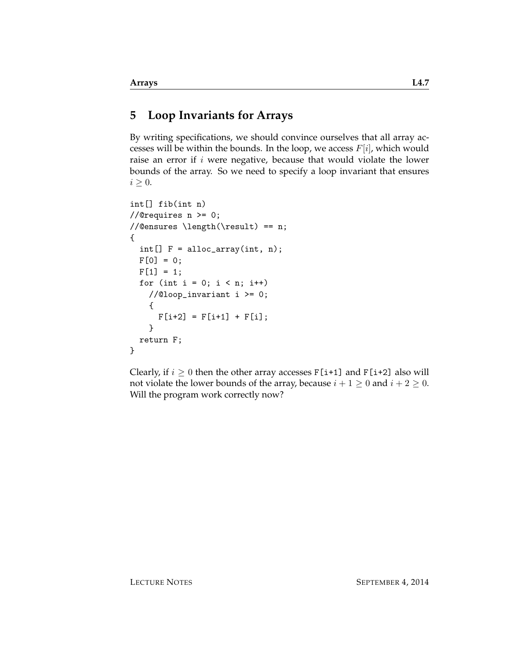# **5 Loop Invariants for Arrays**

By writing specifications, we should convince ourselves that all array accesses will be within the bounds. In the loop, we access  $F[i]$ , which would raise an error if  $i$  were negative, because that would violate the lower bounds of the array. So we need to specify a loop invariant that ensures  $i \geq 0$ .

```
int[] fib(int n)
//@requires n \geq 0;
//@ensures \length(\result) == n;
{
  int[] F = alloc_array(int, n);
 F[0] = 0;F[1] = 1;for (int i = 0; i < n; i++)//@loop_invariant i >= 0;
   {
     F[i+2] = F[i+1] + F[i];}
 return F;
}
```
Clearly, if  $i \geq 0$  then the other array accesses F[i+1] and F[i+2] also will not violate the lower bounds of the array, because  $i + 1 \ge 0$  and  $i + 2 \ge 0$ . Will the program work correctly now?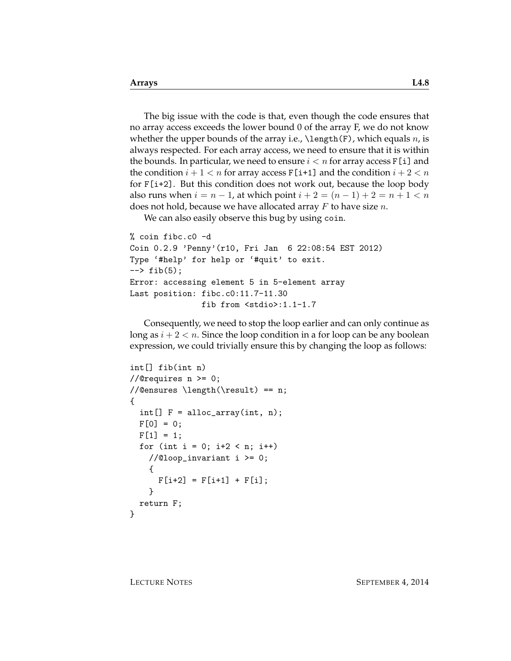The big issue with the code is that, even though the code ensures that no array access exceeds the lower bound 0 of the array F, we do not know whether the upper bounds of the array i.e.,  $\lambda(F)$ , which equals n, is always respected. For each array access, we need to ensure that it is within the bounds. In particular, we need to ensure  $i < n$  for array access  $F[i]$  and the condition  $i + 1 < n$  for array access  $F[i+1]$  and the condition  $i + 2 < n$ for  $F[i+2]$ . But this condition does not work out, because the loop body also runs when  $i = n - 1$ , at which point  $i + 2 = (n - 1) + 2 = n + 1 < n$ does not hold, because we have allocated array  $F$  to have size  $n$ .

We can also easily observe this bug by using coin.

```
% coin fibc.c0 -d
Coin 0.2.9 'Penny'(r10, Fri Jan 6 22:08:54 EST 2012)
Type '#help' for help or '#quit' to exit.
\leftarrow \rightarrow fib(5);
Error: accessing element 5 in 5-element array
Last position: fibc.c0:11.7-11.30
                fib from <stdio>:1.1-1.7
```
Consequently, we need to stop the loop earlier and can only continue as long as  $i + 2 < n$ . Since the loop condition in a for loop can be any boolean expression, we could trivially ensure this by changing the loop as follows:

```
int[] fib(int n)
//@requires n \ge 0;
//@ensures \length(\result) == n;
{
  int[] F = alloc_array(int, n);
 F[0] = 0;
 F[1] = 1;for (int i = 0; i+2 < n; i++)//@loop_invariant i >= 0;{
     F[i+2] = F[i+1] + F[i];}
  return F;
}
```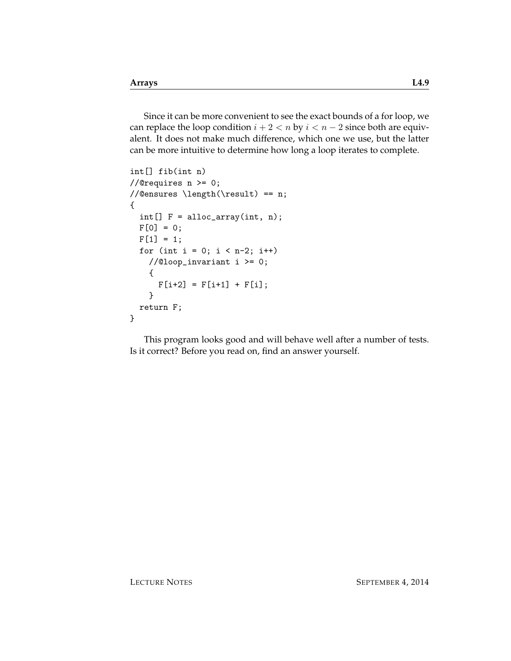Since it can be more convenient to see the exact bounds of a for loop, we can replace the loop condition  $i + 2 < n$  by  $i < n - 2$  since both are equivalent. It does not make much difference, which one we use, but the latter can be more intuitive to determine how long a loop iterates to complete.

```
int[] fib(int n)
//@requires n >= 0;
//@ensures \length(\result) == n;
{
 int[] F = alloc_array(int, n);
 F[0] = 0;F[1] = 1;for (int i = 0; i < n-2; i++)//@loop_invariant i >= 0;
   {
     F[i+2] = F[i+1] + F[i];}
 return F;
}
```
This program looks good and will behave well after a number of tests. Is it correct? Before you read on, find an answer yourself.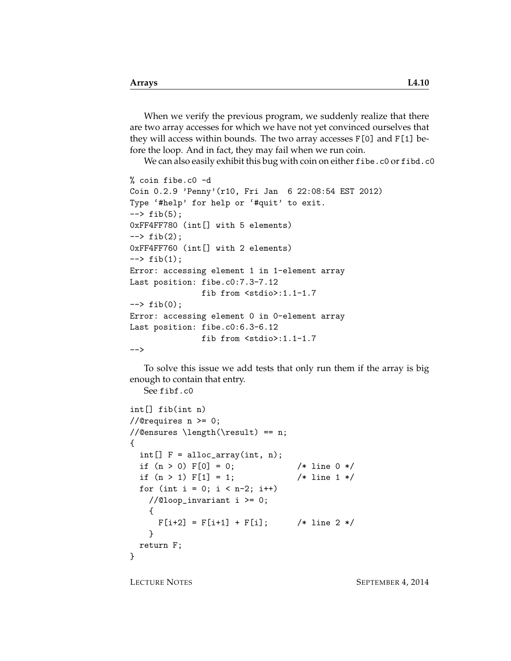When we verify the previous program, we suddenly realize that there are two array accesses for which we have not yet convinced ourselves that they will access within bounds. The two array accesses F[0] and F[1] before the loop. And in fact, they may fail when we run coin.

We can also easily exhibit this bug with coin on either fibe.c0 or fibd.c0

```
% coin fibe.c0 -d
Coin 0.2.9 'Penny'(r10, Fri Jan 6 22:08:54 EST 2012)
Type '#help' for help or '#quit' to exit.
\leftarrow \rightarrow fib(5);
0xFF4FF780 (int[] with 5 elements)
\leftarrow \rightarrow fib(2);
0xFF4FF760 (int[] with 2 elements)
\leftarrow \rightarrow fib(1);
Error: accessing element 1 in 1-element array
Last position: fibe.c0:7.3-7.12
                 fib from <stdio>:1.1-1.7
--> fib(0);
Error: accessing element 0 in 0-element array
Last position: fibe.c0:6.3-6.12
                 fib from <stdio>:1.1-1.7
-->
```
To solve this issue we add tests that only run them if the array is big enough to contain that entry.

```
See fibf.c0
```

```
int[] fib(int n)
//@requires n \geq 0;
//@ensures \length(\result) == n;
{
 int[] F = alloc_array(int, n);if (n > 0) F[0] = 0; /* line 0 */
 if (n > 1) F[1] = 1; /* line 1 */
 for (int i = 0; i < n-2; i++)//@loop_invariant i >= 0;
   {
     F[i+2] = F[i+1] + F[i]; /* line 2 */
   }
 return F;
}
```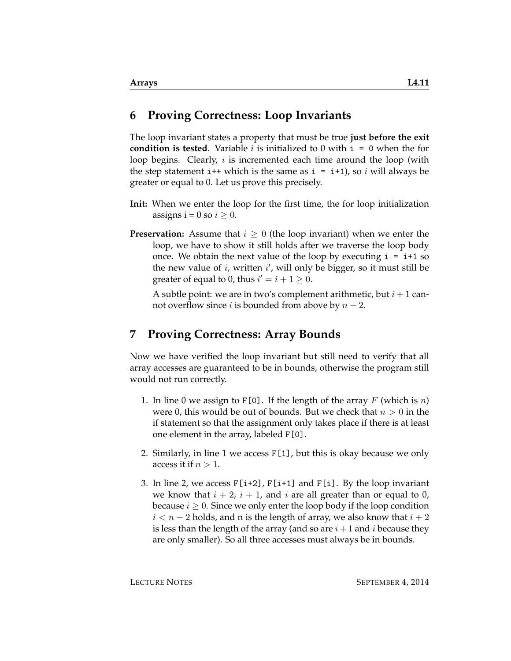### **6 Proving Correctness: Loop Invariants**

The loop invariant states a property that must be true **just before the exit condition is tested**. Variable *i* is initialized to 0 with  $i = 0$  when the for loop begins. Clearly,  $i$  is incremented each time around the loop (with the step statement i++ which is the same as  $i = i+1$ , so i will always be greater or equal to 0. Let us prove this precisely.

- **Init:** When we enter the loop for the first time, the for loop initialization assigns i = 0 so  $i \geq 0$ .
- **Preservation:** Assume that  $i \geq 0$  (the loop invariant) when we enter the loop, we have to show it still holds after we traverse the loop body once. We obtain the next value of the loop by executing  $i = i+1$  so the new value of  $i$ , written  $i'$ , will only be bigger, so it must still be greater of equal to 0, thus  $i' = i + 1 \geq 0$ .

A subtle point: we are in two's complement arithmetic, but  $i+1$  cannot overflow since *i* is bounded from above by  $n-2$ .

### **7 Proving Correctness: Array Bounds**

Now we have verified the loop invariant but still need to verify that all array accesses are guaranteed to be in bounds, otherwise the program still would not run correctly.

- 1. In line 0 we assign to F[0]. If the length of the array F (which is n) were 0, this would be out of bounds. But we check that  $n > 0$  in the if statement so that the assignment only takes place if there is at least one element in the array, labeled F[0].
- 2. Similarly, in line 1 we access F[1], but this is okay because we only access it if  $n > 1$ .
- 3. In line 2, we access  $F[i+2]$ ,  $F[i+1]$  and  $F[i]$ . By the loop invariant we know that  $i + 2$ ,  $i + 1$ , and i are all greater than or equal to 0, because  $i \geq 0$ . Since we only enter the loop body if the loop condition  $i < n-2$  holds, and n is the length of array, we also know that  $i+2$ is less than the length of the array (and so are  $i+1$  and i because they are only smaller). So all three accesses must always be in bounds.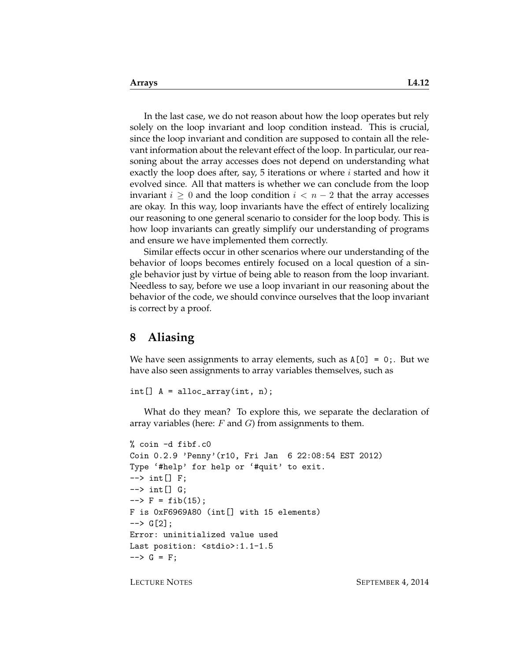In the last case, we do not reason about how the loop operates but rely solely on the loop invariant and loop condition instead. This is crucial, since the loop invariant and condition are supposed to contain all the relevant information about the relevant effect of the loop. In particular, our reasoning about the array accesses does not depend on understanding what exactly the loop does after, say, 5 iterations or where *i* started and how it evolved since. All that matters is whether we can conclude from the loop invariant  $i \geq 0$  and the loop condition  $i < n-2$  that the array accesses are okay. In this way, loop invariants have the effect of entirely localizing our reasoning to one general scenario to consider for the loop body. This is how loop invariants can greatly simplify our understanding of programs and ensure we have implemented them correctly.

Similar effects occur in other scenarios where our understanding of the behavior of loops becomes entirely focused on a local question of a single behavior just by virtue of being able to reason from the loop invariant. Needless to say, before we use a loop invariant in our reasoning about the behavior of the code, we should convince ourselves that the loop invariant is correct by a proof.

#### **8 Aliasing**

We have seen assignments to array elements, such as  $A[0] = 0$ ; But we have also seen assignments to array variables themselves, such as

```
int[] A = alloc_array(int, n);
```
What do they mean? To explore this, we separate the declaration of array variables (here:  $F$  and  $G$ ) from assignments to them.

```
% coin -d fibf.c0
Coin 0.2.9 'Penny'(r10, Fri Jan 6 22:08:54 EST 2012)
Type '#help' for help or '#quit' to exit.
\left[-\right] \left[-\right] \left[\right] \left[\right]\left[-\right] \left[ \begin{array}{c} 1 \\ 0 \end{array} \right]\leftarrow > F = fib(15);
F is 0xF6969A80 (int[] with 15 elements)
\left[-\right] G[2];
Error: uninitialized value used
Last position: <stdio>:1.1-1.5
--> G = F;
```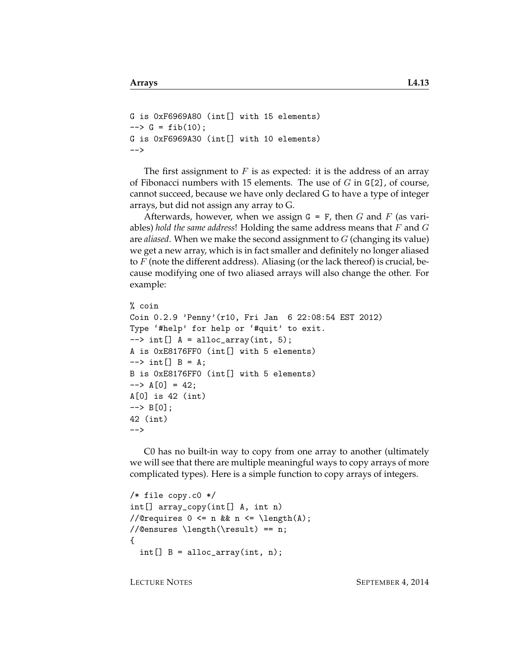```
G is 0xF6969A80 (int[] with 15 elements)
\leftarrow > G = fib(10);
G is 0xF6969A30 (int[] with 10 elements)
-->
```
The first assignment to  $F$  is as expected: it is the address of an array of Fibonacci numbers with 15 elements. The use of  $G$  in  $G[2]$ , of course, cannot succeed, because we have only declared G to have a type of integer arrays, but did not assign any array to G.

Afterwards, however, when we assign  $G = F$ , then G and F (as variables) *hold the same address*! Holding the same address means that F and G are *aliased*. When we make the second assignment to G (changing its value) we get a new array, which is in fact smaller and definitely no longer aliased to  $F$  (note the different address). Aliasing (or the lack thereof) is crucial, because modifying one of two aliased arrays will also change the other. For example:

```
% coin
Coin 0.2.9 'Penny'(r10, Fri Jan 6 22:08:54 EST 2012)
Type '#help' for help or '#quit' to exit.
\left[-\right] int[] A = alloc_array(int, 5);
A is 0xE8176FF0 (int[] with 5 elements)
\left[-\right] B = A;
B is 0xE8176FF0 (int[] with 5 elements)
\left[-\right] = 42;
A[0] is 42 (int)
--> B[0];
42 (int)
-->
```
C0 has no built-in way to copy from one array to another (ultimately we will see that there are multiple meaningful ways to copy arrays of more complicated types). Here is a simple function to copy arrays of integers.

```
/* file copy.c0 */
int[] array_copy(int[] A, int n)
//@requires 0 \leq n && n \leq \operatorname{length}(A);
//@ensures \length(\result) == n;
{
  int[] B = alloc_array(int, n);
```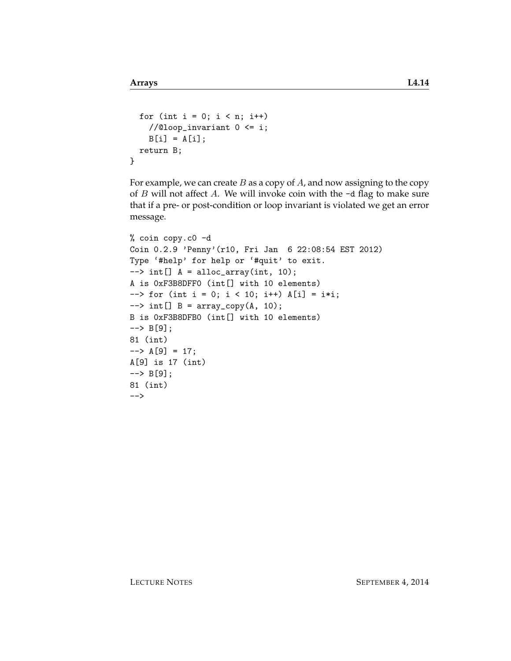```
for (int i = 0; i < n; i++)//@loop_invariant 0 \leq i;B[i] = A[i];return B;
}
```
For example, we can create  $B$  as a copy of  $A$ , and now assigning to the copy of  $B$  will not affect  $A$ . We will invoke coin with the  $-d$  flag to make sure that if a pre- or post-condition or loop invariant is violated we get an error message.

```
% coin copy.c0 -d
Coin 0.2.9 'Penny'(r10, Fri Jan 6 22:08:54 EST 2012)
Type '#help' for help or '#quit' to exit.
\left[-\right] int[] A = alloc_array(int, 10);
A is 0xF3B8DFF0 (int[] with 10 elements)
\left(-\right) for (int i = 0; i < 10; i++) A[i] = i*i;
\left[-\right] int[] B = array_copy(A, 10);
B is 0xF3B8DFB0 (int[] with 10 elements)
\left[-\right] B[9];
81 (int)
--> A[9] = 17;A[9] is 17 (int)
--> B[9];
81 (int)
-->
```